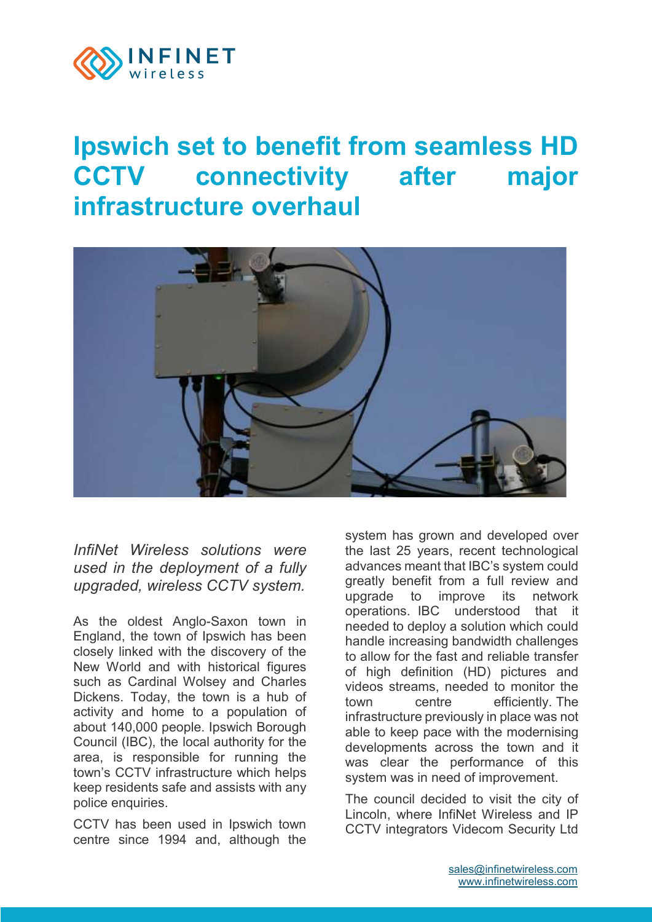

## **Ipswich set to benefit from seamless HD CCTV connectivity after major infrastructure overhaul**



*InfiNet Wireless solutions were used in the deployment of a fully upgraded, wireless CCTV system.*

As the oldest Anglo-Saxon town in England, the town of Ipswich has been closely linked with the discovery of the New World and with historical figures such as Cardinal Wolsey and Charles Dickens. Today, the town is a hub of activity and home to a population of about 140,000 people. Ipswich Borough Council (IBC), the local authority for the area, is responsible for running the town's CCTV infrastructure which helps keep residents safe and assists with any police enquiries.

CCTV has been used in Ipswich town centre since 1994 and, although the system has grown and developed over the last 25 years, recent technological advances meant that IBC's system could greatly benefit from a full review and upgrade to improve its network operations. IBC understood that it needed to deploy a solution which could handle increasing bandwidth challenges to allow for the fast and reliable transfer of high definition (HD) pictures and videos streams, needed to monitor the town centre efficiently. The infrastructure previously in place was not able to keep pace with the modernising developments across the town and it was clear the performance of this system was in need of improvement.

The council decided to visit the city of Lincoln, where InfiNet Wireless and IP CCTV integrators Videcom Security Ltd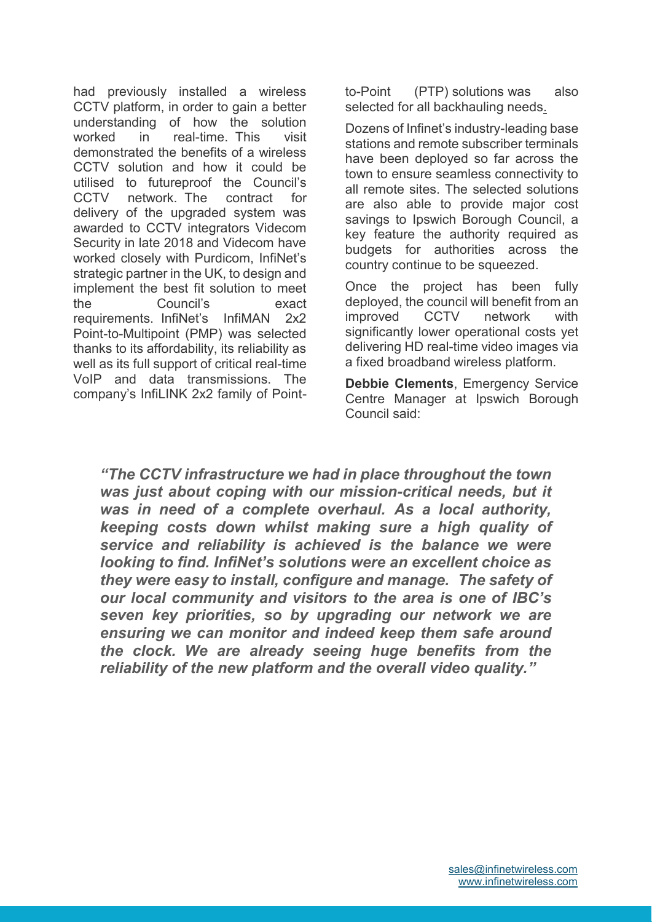had previously installed a wireless CCTV platform, in order to gain a better understanding of how the solution worked in real-time. This visit demonstrated the benefits of a wireless CCTV solution and how it could be utilised to futureproof the Council's CCTV network. The contract for delivery of the upgraded system was awarded to CCTV integrators Videcom Security in late 2018 and Videcom have worked closely with Purdicom, InfiNet's strategic partner in the UK, to design and implement the best fit solution to meet the Council's exact requirements. InfiNet's InfiMAN 2x2 Point-to-Multipoint (PMP) was selected thanks to its affordability, its reliability as well as its full support of critical real-time VoIP and data transmissions. The company's InfiLINK 2x2 family of Pointto-Point (PTP) solutions was also selected for all backhauling needs.

Dozens of Infinet's industry-leading base stations and remote subscriber terminals have been deployed so far across the town to ensure seamless connectivity to all remote sites. The selected solutions are also able to provide major cost savings to Ipswich Borough Council, a key feature the authority required as budgets for authorities across the country continue to be squeezed.

Once the project has been fully deployed, the council will benefit from an improved CCTV network with significantly lower operational costs yet delivering HD real-time video images via a fixed broadband wireless platform.

**Debbie Clements**, Emergency Service Centre Manager at Ipswich Borough Council said:

*"The CCTV infrastructure we had in place throughout the town was just about coping with our mission-critical needs, but it was in need of a complete overhaul. As a local authority, keeping costs down whilst making sure a high quality of service and reliability is achieved is the balance we were looking to find. InfiNet's solutions were an excellent choice as they were easy to install, configure and manage. The safety of our local community and visitors to the area is one of IBC's seven key priorities, so by upgrading our network we are ensuring we can monitor and indeed keep them safe around the clock. We are already seeing huge benefits from the reliability of the new platform and the overall video quality."*